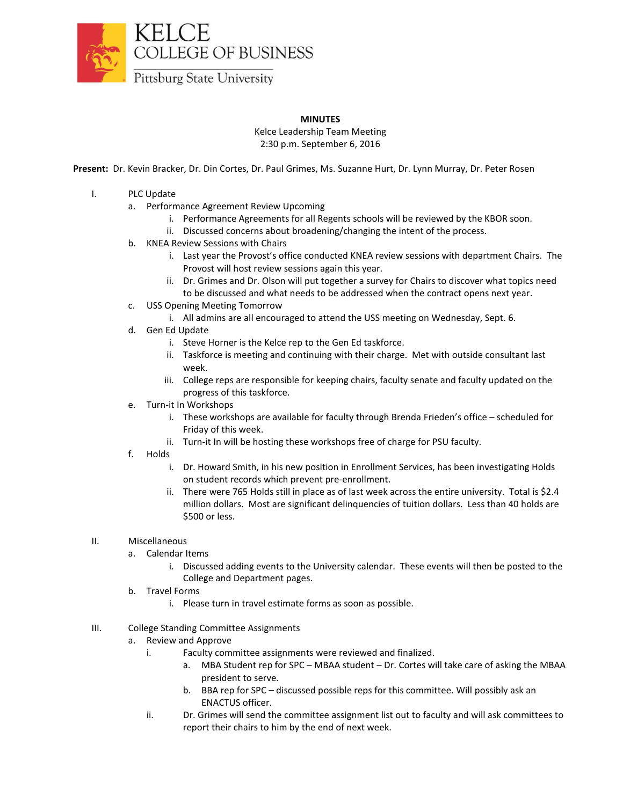

## **MINUTES**

Kelce Leadership Team Meeting 2:30 p.m. September 6, 2016

**Present:** Dr. Kevin Bracker, Dr. Din Cortes, Dr. Paul Grimes, Ms. Suzanne Hurt, Dr. Lynn Murray, Dr. Peter Rosen

- I. PLC Update
	- a. Performance Agreement Review Upcoming
		- i. Performance Agreements for all Regents schools will be reviewed by the KBOR soon.
		- ii. Discussed concerns about broadening/changing the intent of the process.
	- b. KNEA Review Sessions with Chairs
		- i. Last year the Provost's office conducted KNEA review sessions with department Chairs. The Provost will host review sessions again this year.
		- ii. Dr. Grimes and Dr. Olson will put together a survey for Chairs to discover what topics need to be discussed and what needs to be addressed when the contract opens next year.
	- c. USS Opening Meeting Tomorrow
		- i. All admins are all encouraged to attend the USS meeting on Wednesday, Sept. 6.
	- d. Gen Ed Update
		- i. Steve Horner is the Kelce rep to the Gen Ed taskforce.
		- ii. Taskforce is meeting and continuing with their charge. Met with outside consultant last week.
		- iii. College reps are responsible for keeping chairs, faculty senate and faculty updated on the progress of this taskforce.
	- e. Turn-it In Workshops
		- i. These workshops are available for faculty through Brenda Frieden's office scheduled for Friday of this week.
		- ii. Turn-it In will be hosting these workshops free of charge for PSU faculty.
	- f. Holds
		- i. Dr. Howard Smith, in his new position in Enrollment Services, has been investigating Holds on student records which prevent pre-enrollment.
		- ii. There were 765 Holds still in place as of last week across the entire university. Total is \$2.4 million dollars. Most are significant delinquencies of tuition dollars. Less than 40 holds are \$500 or less.
- II. Miscellaneous
	- a. Calendar Items
		- i. Discussed adding events to the University calendar. These events will then be posted to the College and Department pages.
	- b. Travel Forms
		- i. Please turn in travel estimate forms as soon as possible.
- III. College Standing Committee Assignments
	- a. Review and Approve
		- i. Faculty committee assignments were reviewed and finalized.
			- a. MBA Student rep for SPC MBAA student Dr. Cortes will take care of asking the MBAA president to serve.
			- b. BBA rep for SPC discussed possible reps for this committee. Will possibly ask an ENACTUS officer.
		- ii. Dr. Grimes will send the committee assignment list out to faculty and will ask committees to report their chairs to him by the end of next week.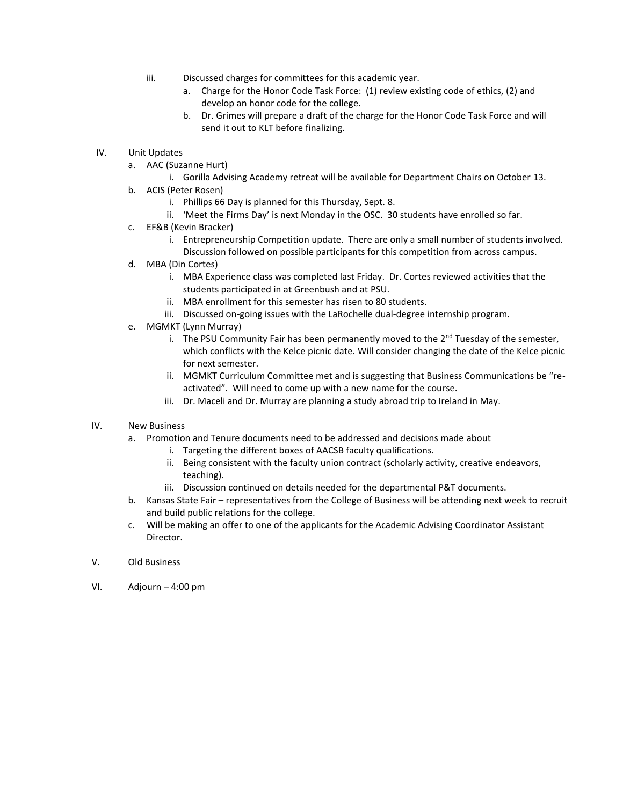- iii. Discussed charges for committees for this academic year.
	- a. Charge for the Honor Code Task Force: (1) review existing code of ethics, (2) and develop an honor code for the college.
	- b. Dr. Grimes will prepare a draft of the charge for the Honor Code Task Force and will send it out to KLT before finalizing.
- IV. Unit Updates
	- a. AAC (Suzanne Hurt)
		- i. Gorilla Advising Academy retreat will be available for Department Chairs on October 13.
	- b. ACIS (Peter Rosen)
		- i. Phillips 66 Day is planned for this Thursday, Sept. 8.
		- ii. 'Meet the Firms Day' is next Monday in the OSC. 30 students have enrolled so far.
	- c. EF&B (Kevin Bracker)
		- i. Entrepreneurship Competition update. There are only a small number of students involved. Discussion followed on possible participants for this competition from across campus.
	- d. MBA (Din Cortes)
		- i. MBA Experience class was completed last Friday. Dr. Cortes reviewed activities that the students participated in at Greenbush and at PSU.
		- ii. MBA enrollment for this semester has risen to 80 students.
		- iii. Discussed on-going issues with the LaRochelle dual-degree internship program.
	- e. MGMKT (Lynn Murray)
		- i. The PSU Community Fair has been permanently moved to the 2<sup>nd</sup> Tuesday of the semester, which conflicts with the Kelce picnic date. Will consider changing the date of the Kelce picnic for next semester.
		- ii. MGMKT Curriculum Committee met and is suggesting that Business Communications be "reactivated". Will need to come up with a new name for the course.
		- iii. Dr. Maceli and Dr. Murray are planning a study abroad trip to Ireland in May.

## IV. New Business

- a. Promotion and Tenure documents need to be addressed and decisions made about
	- i. Targeting the different boxes of AACSB faculty qualifications.
	- ii. Being consistent with the faculty union contract (scholarly activity, creative endeavors, teaching).
	- iii. Discussion continued on details needed for the departmental P&T documents.
- b. Kansas State Fair representatives from the College of Business will be attending next week to recruit and build public relations for the college.
- c. Will be making an offer to one of the applicants for the Academic Advising Coordinator Assistant Director.
- V. Old Business
- VI. Adjourn 4:00 pm